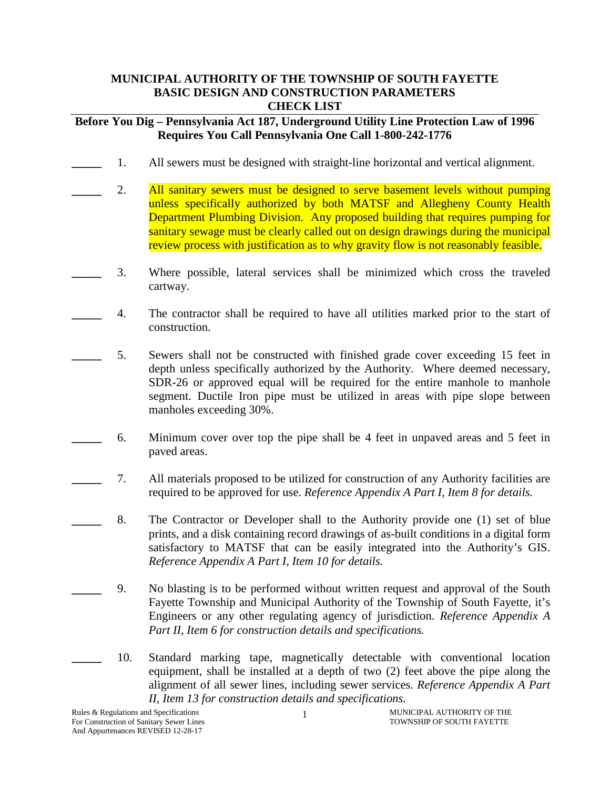## **MUNICIPAL AUTHORITY OF THE TOWNSHIP OF SOUTH FAYETTE BASIC DESIGN AND CONSTRUCTION PARAMETERS CHECK LIST**

## **Before You Dig – Pennsylvania Act 187, Underground Utility Line Protection Law of 1996 Requires You Call Pennsylvania One Call 1-800-242-1776**

- **\_\_\_\_\_** 1. All sewers must be designed with straight-line horizontal and vertical alignment.
- **\_\_\_\_\_** 2. All sanitary sewers must be designed to serve basement levels without pumping unless specifically authorized by both MATSF and Allegheny County Health Department Plumbing Division. Any proposed building that requires pumping for sanitary sewage must be clearly called out on design drawings during the municipal review process with justification as to why gravity flow is not reasonably feasible.
- **\_\_\_\_\_** 3. Where possible, lateral services shall be minimized which cross the traveled cartway.
- **\_\_\_\_\_** 4. The contractor shall be required to have all utilities marked prior to the start of construction.
- **\_\_\_\_\_** 5. Sewers shall not be constructed with finished grade cover exceeding 15 feet in depth unless specifically authorized by the Authority. Where deemed necessary, SDR-26 or approved equal will be required for the entire manhole to manhole segment. Ductile Iron pipe must be utilized in areas with pipe slope between manholes exceeding 30%.
- **\_\_\_\_\_** 6. Minimum cover over top the pipe shall be 4 feet in unpaved areas and 5 feet in paved areas.
- **\_\_\_\_\_** 7. All materials proposed to be utilized for construction of any Authority facilities are required to be approved for use. *Reference Appendix A Part I, Item 8 for details.*
- 8. The Contractor or Developer shall to the Authority provide one (1) set of blue prints, and a disk containing record drawings of as-built conditions in a digital form satisfactory to MATSF that can be easily integrated into the Authority's GIS. *Reference Appendix A Part I, Item 10 for details.*
	- **\_\_\_\_\_** 9. No blasting is to be performed without written request and approval of the South Fayette Township and Municipal Authority of the Township of South Fayette, it's Engineers or any other regulating agency of jurisdiction. *Reference Appendix A Part II, Item 6 for construction details and specifications.*
	- **\_\_\_\_\_** 10. Standard marking tape, magnetically detectable with conventional location equipment, shall be installed at a depth of two (2) feet above the pipe along the alignment of all sewer lines, including sewer services. *Reference Appendix A Part II, Item 13 for construction details and specifications.*